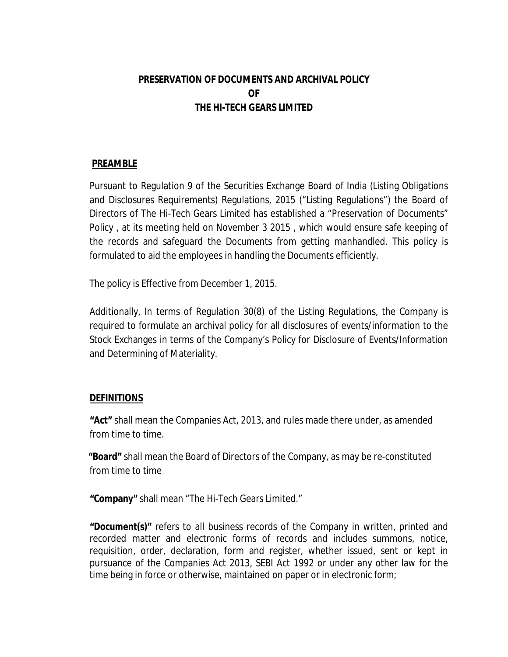## **PRESERVATION OF DOCUMENTS AND ARCHIVAL POLICY OF THE HI-TECH GEARS LIMITED**

## **PREAMBLE**

Pursuant to Regulation 9 of the Securities Exchange Board of India (Listing Obligations and Disclosures Requirements) Regulations, 2015 ("Listing Regulations") the Board of Directors of The Hi-Tech Gears Limited has established a "Preservation of Documents" Policy , at its meeting held on November 3 2015 , which would ensure safe keeping of the records and safeguard the Documents from getting manhandled. This policy is formulated to aid the employees in handling the Documents efficiently.

The policy is Effective from December 1, 2015.

Additionally, In terms of Regulation 30(8) of the Listing Regulations, the Company is required to formulate an archival policy for all disclosures of events/information to the Stock Exchanges in terms of the Company's Policy for Disclosure of Events/Information and Determining of Materiality.

## **DEFINITIONS**

**"Act"** shall mean the Companies Act, 2013, and rules made there under, as amended from time to time.

**"Board"** shall mean the Board of Directors of the Company, as may be re-constituted from time to time

**"Company"** shall mean "The Hi-Tech Gears Limited."

**"Document(s)"** refers to all business records of the Company in written, printed and recorded matter and electronic forms of records and includes summons, notice, requisition, order, declaration, form and register, whether issued, sent or kept in pursuance of the Companies Act 2013, SEBI Act 1992 or under any other law for the time being in force or otherwise, maintained on paper or in electronic form;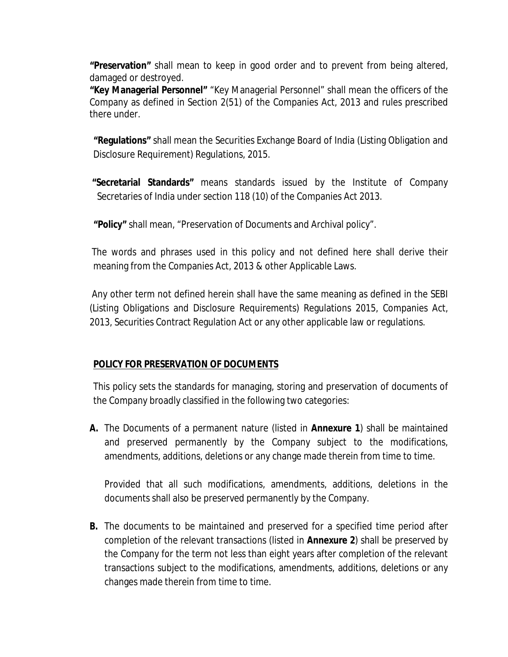**"Preservation"** shall mean to keep in good order and to prevent from being altered, damaged or destroyed.

**"Key Managerial Personnel"** "Key Managerial Personnel" shall mean the officers of the Company as defined in Section 2(51) of the Companies Act, 2013 and rules prescribed there under.

**"Regulations"** shall mean the Securities Exchange Board of India (Listing Obligation and Disclosure Requirement) Regulations, 2015.

**"Secretarial Standards"** means standards issued by the Institute of Company Secretaries of India under section 118 (10) of the Companies Act 2013.

**"Policy"** shall mean, "Preservation of Documents and Archival policy".

The words and phrases used in this policy and not defined here shall derive their meaning from the Companies Act, 2013 & other Applicable Laws.

Any other term not defined herein shall have the same meaning as defined in the SEBI (Listing Obligations and Disclosure Requirements) Regulations 2015, Companies Act, 2013, Securities Contract Regulation Act or any other applicable law or regulations.

## **POLICY FOR PRESERVATION OF DOCUMENTS**

This policy sets the standards for managing, storing and preservation of documents of the Company broadly classified in the following two categories:

**A.** The Documents of a permanent nature (listed in **Annexure 1**) shall be maintained and preserved permanently by the Company subject to the modifications, amendments, additions, deletions or any change made therein from time to time.

Provided that all such modifications, amendments, additions, deletions in the documents shall also be preserved permanently by the Company.

**B.** The documents to be maintained and preserved for a specified time period after completion of the relevant transactions (listed in **Annexure 2**) shall be preserved by the Company for the term not less than eight years after completion of the relevant transactions subject to the modifications, amendments, additions, deletions or any changes made therein from time to time.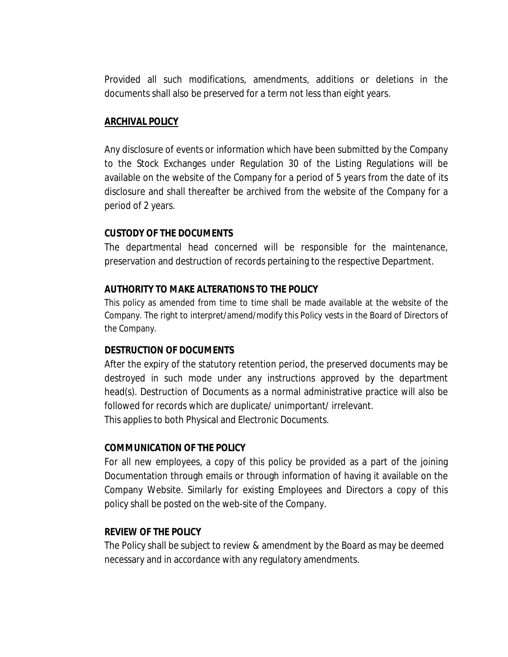Provided all such modifications, amendments, additions or deletions in the documents shall also be preserved for a term not less than eight years.

#### **ARCHIVAL POLICY**

Any disclosure of events or information which have been submitted by the Company to the Stock Exchanges under Regulation 30 of the Listing Regulations will be available on the website of the Company for a period of 5 years from the date of its disclosure and shall thereafter be archived from the website of the Company for a period of 2 years.

#### **CUSTODY OF THE DOCUMENTS**

The departmental head concerned will be responsible for the maintenance, preservation and destruction of records pertaining to the respective Department.

#### **AUTHORITY TO MAKE ALTERATIONS TO THE POLICY**

This policy as amended from time to time shall be made available at the website of the Company. The right to interpret/amend/modify this Policy vests in the Board of Directors of the Company.

#### **DESTRUCTION OF DOCUMENTS**

After the expiry of the statutory retention period, the preserved documents may be destroyed in such mode under any instructions approved by the department head(s). Destruction of Documents as a normal administrative practice will also be followed for records which are duplicate/ unimportant/ irrelevant. This applies to both Physical and Electronic Documents.

#### **COMMUNICATION OF THE POLICY**

For all new employees, a copy of this policy be provided as a part of the joining Documentation through emails or through information of having it available on the Company Website. Similarly for existing Employees and Directors a copy of this policy shall be posted on the web-site of the Company.

#### **REVIEW OF THE POLICY**

The Policy shall be subject to review & amendment by the Board as may be deemed necessary and in accordance with any regulatory amendments.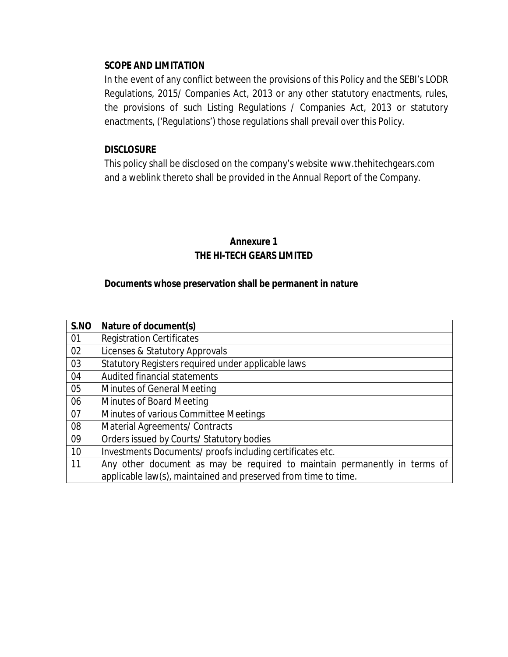### **SCOPE AND LIMITATION**

In the event of any conflict between the provisions of this Policy and the SEBI's LODR Regulations, 2015/ Companies Act, 2013 or any other statutory enactments, rules, the provisions of such Listing Regulations / Companies Act, 2013 or statutory enactments, ('Regulations') those regulations shall prevail over this Policy.

### **DISCLOSURE**

This policy shall be disclosed on the company's website www.thehitechgears.com and a weblink thereto shall be provided in the Annual Report of the Company.

## **Annexure 1 THE HI-TECH GEARS LIMITED**

### **Documents whose preservation shall be permanent in nature**

| S.NO | Nature of document(s)                                                     |
|------|---------------------------------------------------------------------------|
| 01   | <b>Registration Certificates</b>                                          |
| 02   | Licenses & Statutory Approvals                                            |
| 03   | Statutory Registers required under applicable laws                        |
| 04   | Audited financial statements                                              |
| 05   | Minutes of General Meeting                                                |
| 06   | Minutes of Board Meeting                                                  |
| 07   | Minutes of various Committee Meetings                                     |
| 08   | Material Agreements/ Contracts                                            |
| 09   | Orders issued by Courts/ Statutory bodies                                 |
| 10   | Investments Documents/ proofs including certificates etc.                 |
| 11   | Any other document as may be required to maintain permanently in terms of |
|      | applicable law(s), maintained and preserved from time to time.            |